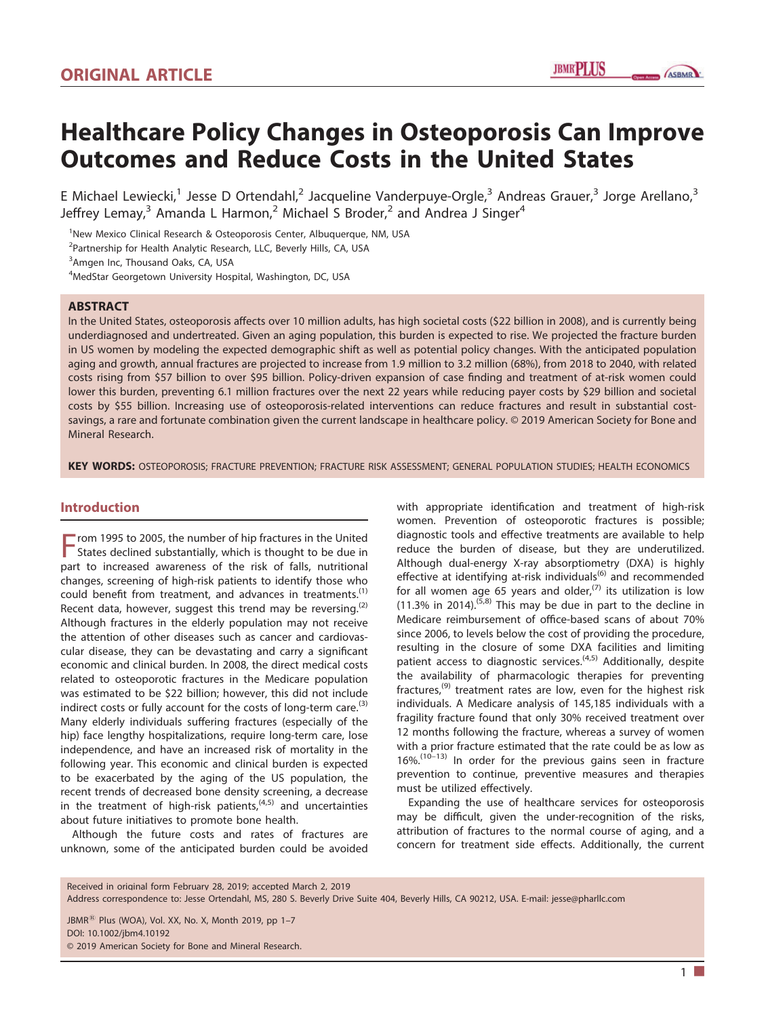**ASBMR** 

# Healthcare Policy Changes in Osteoporosis Can Improve Outcomes and Reduce Costs in the United States

E Michael Lewiecki,<sup>1</sup> Jesse D Ortendahl,<sup>2</sup> Jacqueline Vanderpuye-Orgle,<sup>3</sup> Andreas Grauer,<sup>3</sup> Jorge Arellano,<sup>3</sup> Jeffrey Lemay,<sup>3</sup> Amanda L Harmon,<sup>2</sup> Michael S Broder,<sup>2</sup> and Andrea J Singer<sup>4</sup>

<sup>1</sup>New Mexico Clinical Research & Osteoporosis Center, Albuquerque, NM, USA

<sup>2</sup>Partnership for Health Analytic Research, LLC, Beverly Hills, CA, USA

<sup>3</sup> Amgen Inc, Thousand Oaks, CA, USA

4 MedStar Georgetown University Hospital, Washington, DC, USA

#### ABSTRACT

In the United States, osteoporosis affects over 10 million adults, has high societal costs (\$22 billion in 2008), and is currently being underdiagnosed and undertreated. Given an aging population, this burden is expected to rise. We projected the fracture burden in US women by modeling the expected demographic shift as well as potential policy changes. With the anticipated population aging and growth, annual fractures are projected to increase from 1.9 million to 3.2 million (68%), from 2018 to 2040, with related costs rising from \$57 billion to over \$95 billion. Policy‐driven expansion of case finding and treatment of at‐risk women could lower this burden, preventing 6.1 million fractures over the next 22 years while reducing payer costs by \$29 billion and societal costs by \$55 billion. Increasing use of osteoporosis-related interventions can reduce fractures and result in substantial costsavings, a rare and fortunate combination given the current landscape in healthcare policy. © 2019 American Society for Bone and Mineral Research.

KEY WORDS: OSTEOPOROSIS; FRACTURE PREVENTION; FRACTURE RISK ASSESSMENT; GENERAL POPULATION STUDIES; HEALTH ECONOMICS

## Introduction

From 1995 to 2005, the number of hip fractures in the United<br>States declined submanism States declined substantially, which is thought to be due in part to increased awareness of the risk of falls, nutritional changes, screening of high‐risk patients to identify those who could benefit from treatment, and advances in treatments.<sup>(1)</sup> Recent data, however, suggest this trend may be reversing.<sup>(2)</sup> Although fractures in the elderly population may not receive the attention of other diseases such as cancer and cardiovascular disease, they can be devastating and carry a significant economic and clinical burden. In 2008, the direct medical costs related to osteoporotic fractures in the Medicare population was estimated to be \$22 billion; however, this did not include indirect costs or fully account for the costs of long-term care.<sup>(3)</sup> Many elderly individuals suffering fractures (especially of the hip) face lengthy hospitalizations, require long-term care, lose independence, and have an increased risk of mortality in the following year. This economic and clinical burden is expected to be exacerbated by the aging of the US population, the recent trends of decreased bone density screening, a decrease in the treatment of high-risk patients, $(4,5)$  and uncertainties about future initiatives to promote bone health.

Although the future costs and rates of fractures are unknown, some of the anticipated burden could be avoided with appropriate identification and treatment of high-risk women. Prevention of osteoporotic fractures is possible; diagnostic tools and effective treatments are available to help reduce the burden of disease, but they are underutilized. Although dual‐energy X‐ray absorptiometry (DXA) is highly effective at identifying at-risk individuals<sup>(6)</sup> and recommended for all women age 65 years and older, $(7)$  its utilization is low  $(11.3\%$  in 2014).<sup>(5,8)</sup> This may be due in part to the decline in Medicare reimbursement of office‐based scans of about 70% since 2006, to levels below the cost of providing the procedure, resulting in the closure of some DXA facilities and limiting patient access to diagnostic services.<sup>(4,5)</sup> Additionally, despite the availability of pharmacologic therapies for preventing fractures,<sup>(9)</sup> treatment rates are low, even for the highest risk individuals. A Medicare analysis of 145,185 individuals with a fragility fracture found that only 30% received treatment over 12 months following the fracture, whereas a survey of women with a prior fracture estimated that the rate could be as low as  $16\%$ .<sup>(10–13)</sup> In order for the previous gains seen in fracture prevention to continue, preventive measures and therapies must be utilized effectively.

Expanding the use of healthcare services for osteoporosis may be difficult, given the under-recognition of the risks, attribution of fractures to the normal course of aging, and a concern for treatment side effects. Additionally, the current

JBMR<sup>®</sup> Plus (WOA), Vol. XX, No. X, Month 2019, pp 1-7 DOI: 10.1002/jbm4.10192

© 2019 American Society for Bone and Mineral Research.

 $1 \square$ 

Received in original form February 28, 2019; accepted March 2, 2019

Address correspondence to: Jesse Ortendahl, MS, 280 S. Beverly Drive Suite 404, Beverly Hills, CA 90212, USA. E‐mail: jesse@pharllc.com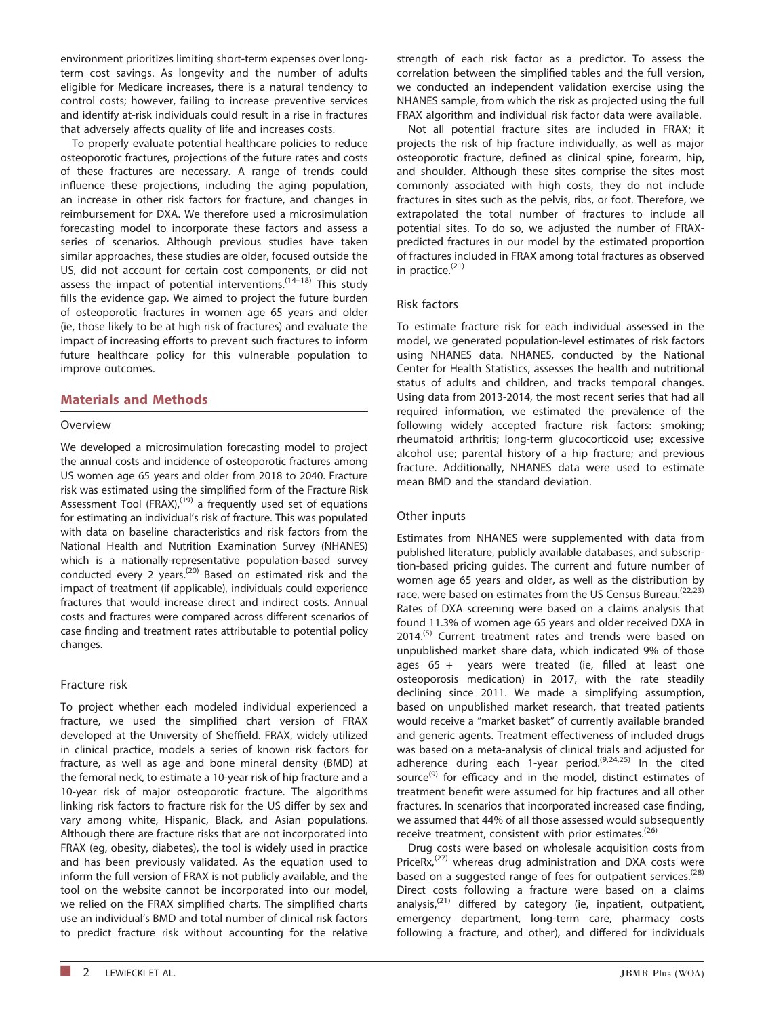environment prioritizes limiting short-term expenses over longterm cost savings. As longevity and the number of adults eligible for Medicare increases, there is a natural tendency to control costs; however, failing to increase preventive services and identify at‐risk individuals could result in a rise in fractures that adversely affects quality of life and increases costs.

To properly evaluate potential healthcare policies to reduce osteoporotic fractures, projections of the future rates and costs of these fractures are necessary. A range of trends could influence these projections, including the aging population, an increase in other risk factors for fracture, and changes in reimbursement for DXA. We therefore used a microsimulation forecasting model to incorporate these factors and assess a series of scenarios. Although previous studies have taken similar approaches, these studies are older, focused outside the US, did not account for certain cost components, or did not assess the impact of potential interventions.  $(14-18)$  This study fills the evidence gap. We aimed to project the future burden of osteoporotic fractures in women age 65 years and older (ie, those likely to be at high risk of fractures) and evaluate the impact of increasing efforts to prevent such fractures to inform future healthcare policy for this vulnerable population to improve outcomes.

## Materials and Methods

## Overview

We developed a microsimulation forecasting model to project the annual costs and incidence of osteoporotic fractures among US women age 65 years and older from 2018 to 2040. Fracture risk was estimated using the simplified form of the Fracture Risk Assessment Tool (FRAX) $<sub>i</sub><sup>(19)</sup>$  a frequently used set of equations</sub> for estimating an individual's risk of fracture. This was populated with data on baseline characteristics and risk factors from the National Health and Nutrition Examination Survey (NHANES) which is a nationally-representative population-based survey conducted every 2 years.<sup> $(20)$ </sup> Based on estimated risk and the impact of treatment (if applicable), individuals could experience fractures that would increase direct and indirect costs. Annual costs and fractures were compared across different scenarios of case finding and treatment rates attributable to potential policy changes.

#### Fracture risk

To project whether each modeled individual experienced a fracture, we used the simplified chart version of FRAX developed at the University of Sheffield. FRAX, widely utilized in clinical practice, models a series of known risk factors for fracture, as well as age and bone mineral density (BMD) at the femoral neck, to estimate a 10‐year risk of hip fracture and a 10-year risk of major osteoporotic fracture. The algorithms linking risk factors to fracture risk for the US differ by sex and vary among white, Hispanic, Black, and Asian populations. Although there are fracture risks that are not incorporated into FRAX (eg, obesity, diabetes), the tool is widely used in practice and has been previously validated. As the equation used to inform the full version of FRAX is not publicly available, and the tool on the website cannot be incorporated into our model, we relied on the FRAX simplified charts. The simplified charts use an individual's BMD and total number of clinical risk factors to predict fracture risk without accounting for the relative

osteoporotic fracture, defined as clinical spine, forearm, hip, and shoulder. Although these sites comprise the sites most commonly associated with high costs, they do not include fractures in sites such as the pelvis, ribs, or foot. Therefore, we

> extrapolated the total number of fractures to include all potential sites. To do so, we adjusted the number of FRAX‐ predicted fractures in our model by the estimated proportion of fractures included in FRAX among total fractures as observed in practice.<sup>(21)</sup>

> strength of each risk factor as a predictor. To assess the correlation between the simplified tables and the full version, we conducted an independent validation exercise using the NHANES sample, from which the risk as projected using the full FRAX algorithm and individual risk factor data were available. Not all potential fracture sites are included in FRAX; it projects the risk of hip fracture individually, as well as major

## Risk factors

To estimate fracture risk for each individual assessed in the model, we generated population‐level estimates of risk factors using NHANES data. NHANES, conducted by the National Center for Health Statistics, assesses the health and nutritional status of adults and children, and tracks temporal changes. Using data from 2013‐2014, the most recent series that had all required information, we estimated the prevalence of the following widely accepted fracture risk factors: smoking; rheumatoid arthritis; long‐term glucocorticoid use; excessive alcohol use; parental history of a hip fracture; and previous fracture. Additionally, NHANES data were used to estimate mean BMD and the standard deviation.

## Other inputs

Estimates from NHANES were supplemented with data from published literature, publicly available databases, and subscription‐based pricing guides. The current and future number of women age 65 years and older, as well as the distribution by race, were based on estimates from the US Census Bureau.<sup>(22,23)</sup> Rates of DXA screening were based on a claims analysis that found 11.3% of women age 65 years and older received DXA in 2014.<sup>(5)</sup> Current treatment rates and trends were based on unpublished market share data, which indicated 9% of those ages 65 + years were treated (ie, filled at least one osteoporosis medication) in 2017, with the rate steadily declining since 2011. We made a simplifying assumption, based on unpublished market research, that treated patients would receive a "market basket" of currently available branded and generic agents. Treatment effectiveness of included drugs was based on a meta‐analysis of clinical trials and adjusted for adherence during each 1-year period. $(9,24,25)$  In the cited source<sup>(9)</sup> for efficacy and in the model, distinct estimates of treatment benefit were assumed for hip fractures and all other fractures. In scenarios that incorporated increased case finding, we assumed that 44% of all those assessed would subsequently receive treatment, consistent with prior estimates.<sup>(26)</sup>

Drug costs were based on wholesale acquisition costs from Price $Rx<sub>1</sub><sup>(27)</sup>$  whereas drug administration and DXA costs were based on a suggested range of fees for outpatient services.<sup>(28)</sup> Direct costs following a fracture were based on a claims analysis, $(21)$  differed by category (ie, inpatient, outpatient, emergency department, long-term care, pharmacy costs following a fracture, and other), and differed for individuals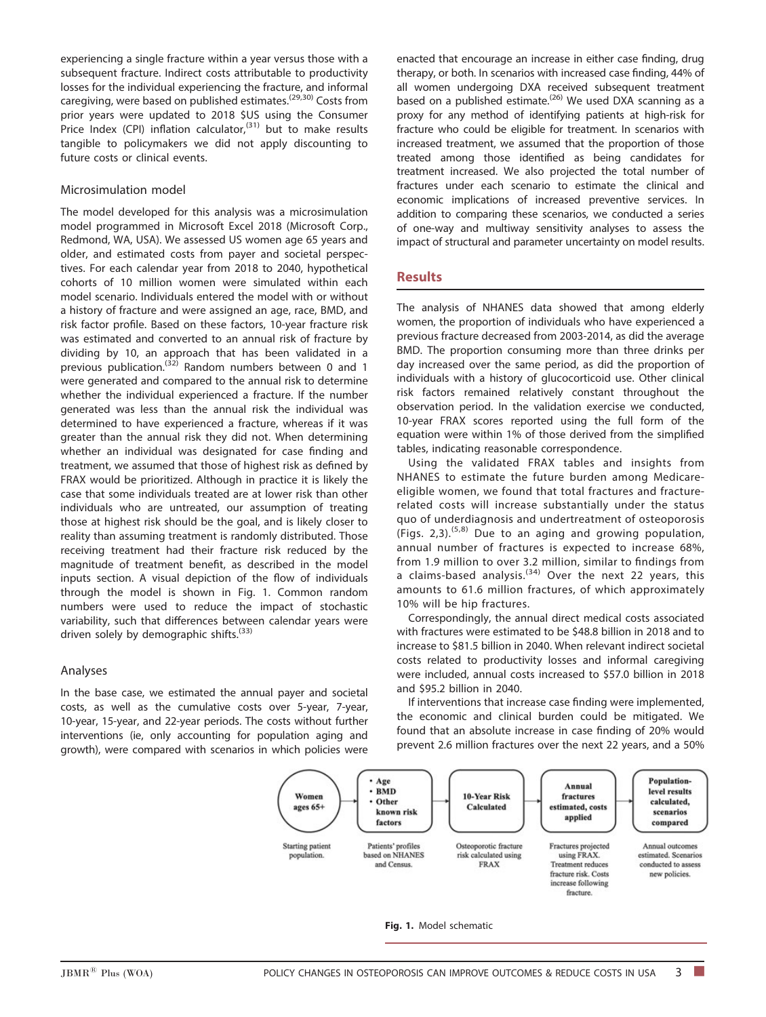experiencing a single fracture within a year versus those with a subsequent fracture. Indirect costs attributable to productivity losses for the individual experiencing the fracture, and informal caregiving, were based on published estimates.<sup>(29,30)</sup> Costs from prior years were updated to 2018 \$US using the Consumer Price Index (CPI) inflation calculator,<sup>(31)</sup> but to make results tangible to policymakers we did not apply discounting to future costs or clinical events.

#### Microsimulation model

The model developed for this analysis was a microsimulation model programmed in Microsoft Excel 2018 (Microsoft Corp., Redmond, WA, USA). We assessed US women age 65 years and older, and estimated costs from payer and societal perspectives. For each calendar year from 2018 to 2040, hypothetical cohorts of 10 million women were simulated within each model scenario. Individuals entered the model with or without a history of fracture and were assigned an age, race, BMD, and risk factor profile. Based on these factors, 10‐year fracture risk was estimated and converted to an annual risk of fracture by dividing by 10, an approach that has been validated in a previous publication.<sup>(32)</sup> Random numbers between 0 and 1 were generated and compared to the annual risk to determine whether the individual experienced a fracture. If the number generated was less than the annual risk the individual was determined to have experienced a fracture, whereas if it was greater than the annual risk they did not. When determining whether an individual was designated for case finding and treatment, we assumed that those of highest risk as defined by FRAX would be prioritized. Although in practice it is likely the case that some individuals treated are at lower risk than other individuals who are untreated, our assumption of treating those at highest risk should be the goal, and is likely closer to reality than assuming treatment is randomly distributed. Those receiving treatment had their fracture risk reduced by the magnitude of treatment benefit, as described in the model inputs section. A visual depiction of the flow of individuals through the model is shown in Fig. 1. Common random numbers were used to reduce the impact of stochastic variability, such that differences between calendar years were driven solely by demographic shifts. $(33)$ 

#### Analyses

In the base case, we estimated the annual payer and societal costs, as well as the cumulative costs over 5‐year, 7‐year, 10‐year, 15‐year, and 22‐year periods. The costs without further interventions (ie, only accounting for population aging and growth), were compared with scenarios in which policies were

enacted that encourage an increase in either case finding, drug therapy, or both. In scenarios with increased case finding, 44% of all women undergoing DXA received subsequent treatment based on a published estimate.<sup>(26)</sup> We used DXA scanning as a proxy for any method of identifying patients at high-risk for fracture who could be eligible for treatment. In scenarios with increased treatment, we assumed that the proportion of those treated among those identified as being candidates for treatment increased. We also projected the total number of fractures under each scenario to estimate the clinical and economic implications of increased preventive services. In addition to comparing these scenarios, we conducted a series of one‐way and multiway sensitivity analyses to assess the impact of structural and parameter uncertainty on model results.

#### **Results**

The analysis of NHANES data showed that among elderly women, the proportion of individuals who have experienced a previous fracture decreased from 2003‐2014, as did the average BMD. The proportion consuming more than three drinks per day increased over the same period, as did the proportion of individuals with a history of glucocorticoid use. Other clinical risk factors remained relatively constant throughout the observation period. In the validation exercise we conducted, 10‐year FRAX scores reported using the full form of the equation were within 1% of those derived from the simplified tables, indicating reasonable correspondence.

Using the validated FRAX tables and insights from NHANES to estimate the future burden among Medicare‐ eligible women, we found that total fractures and fracture‐ related costs will increase substantially under the status quo of underdiagnosis and undertreatment of osteoporosis (Figs. 2,3). $(5,8)$  Due to an aging and growing population, annual number of fractures is expected to increase 68%, from 1.9 million to over 3.2 million, similar to findings from a claims-based analysis.<sup>(34)</sup> Over the next 22 years, this amounts to 61.6 million fractures, of which approximately 10% will be hip fractures.

Correspondingly, the annual direct medical costs associated with fractures were estimated to be \$48.8 billion in 2018 and to increase to \$81.5 billion in 2040. When relevant indirect societal costs related to productivity losses and informal caregiving were included, annual costs increased to \$57.0 billion in 2018 and \$95.2 billion in 2040.

If interventions that increase case finding were implemented, the economic and clinical burden could be mitigated. We found that an absolute increase in case finding of 20% would prevent 2.6 million fractures over the next 22 years, and a 50%



#### Fig. 1. Model schematic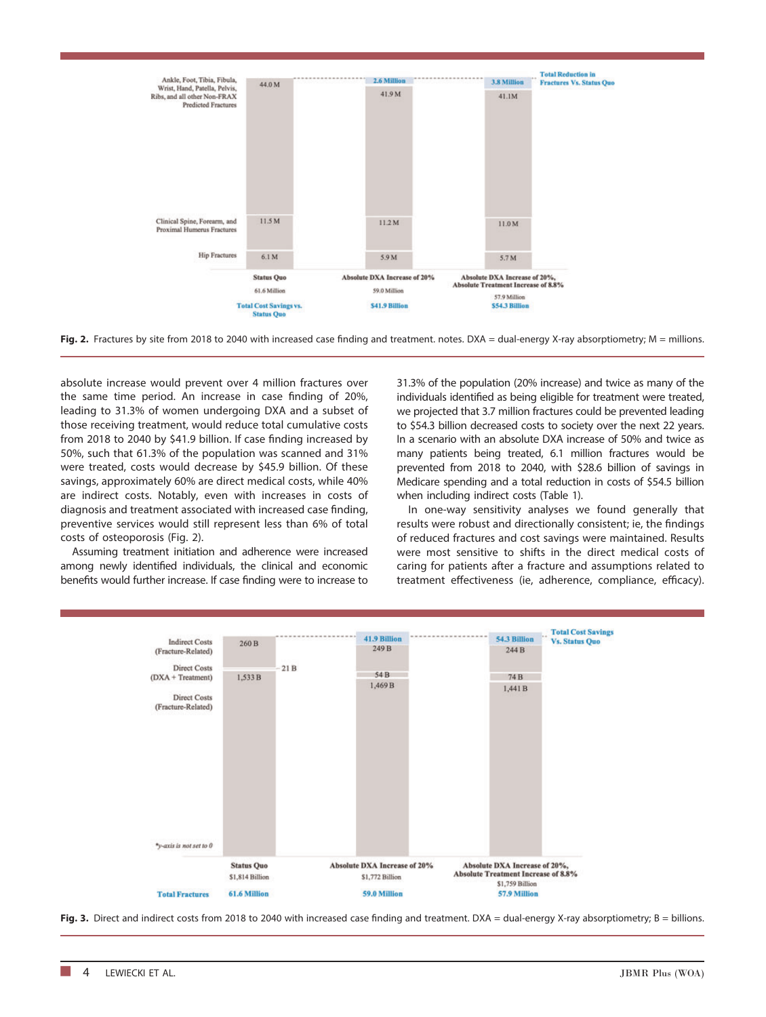

Fig. 2. Fractures by site from 2018 to 2040 with increased case finding and treatment. notes. DXA = dual-energy X-ray absorptiometry; M = millions.

absolute increase would prevent over 4 million fractures over the same time period. An increase in case finding of 20%, leading to 31.3% of women undergoing DXA and a subset of those receiving treatment, would reduce total cumulative costs from 2018 to 2040 by \$41.9 billion. If case finding increased by 50%, such that 61.3% of the population was scanned and 31% were treated, costs would decrease by \$45.9 billion. Of these savings, approximately 60% are direct medical costs, while 40% are indirect costs. Notably, even with increases in costs of diagnosis and treatment associated with increased case finding, preventive services would still represent less than 6% of total costs of osteoporosis (Fig. 2).

Assuming treatment initiation and adherence were increased among newly identified individuals, the clinical and economic benefits would further increase. If case finding were to increase to 31.3% of the population (20% increase) and twice as many of the individuals identified as being eligible for treatment were treated, we projected that 3.7 million fractures could be prevented leading to \$54.3 billion decreased costs to society over the next 22 years. In a scenario with an absolute DXA increase of 50% and twice as many patients being treated, 6.1 million fractures would be prevented from 2018 to 2040, with \$28.6 billion of savings in Medicare spending and a total reduction in costs of \$54.5 billion when including indirect costs (Table 1).

In one‐way sensitivity analyses we found generally that results were robust and directionally consistent; ie, the findings of reduced fractures and cost savings were maintained. Results were most sensitive to shifts in the direct medical costs of caring for patients after a fracture and assumptions related to treatment effectiveness (ie, adherence, compliance, efficacy).



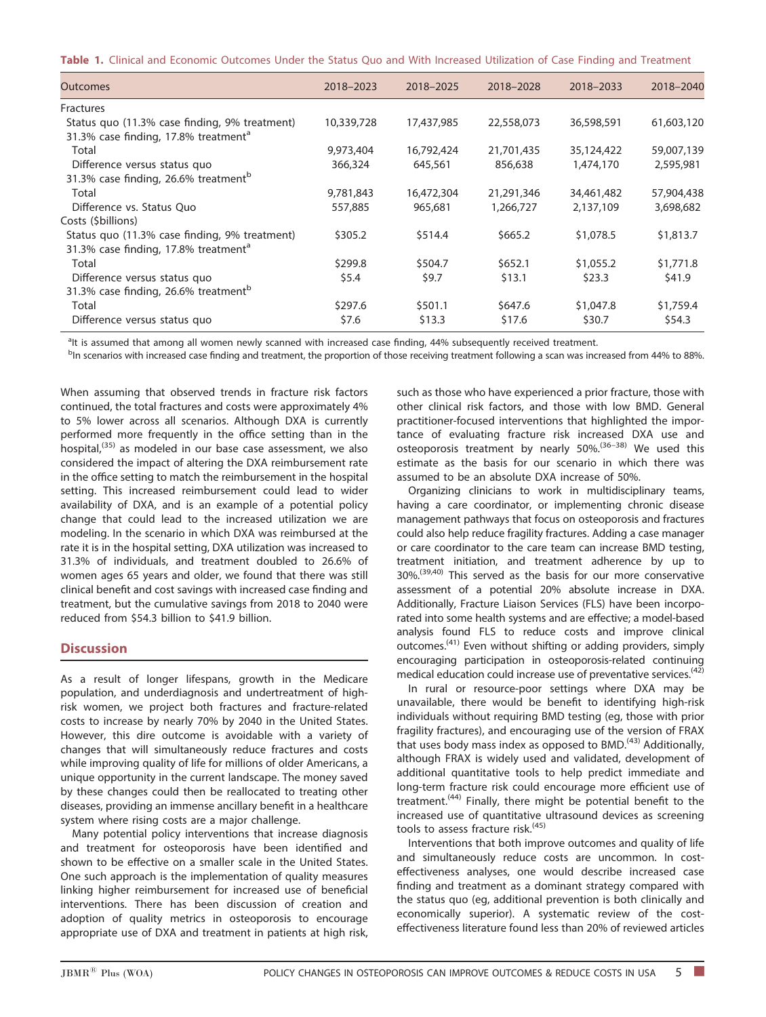|  |  | Table 1. Clinical and Economic Outcomes Under the Status Quo and With Increased Utilization of Case Finding and Treatment |  |  |  |  |  |  |  |  |  |  |  |
|--|--|---------------------------------------------------------------------------------------------------------------------------|--|--|--|--|--|--|--|--|--|--|--|
|--|--|---------------------------------------------------------------------------------------------------------------------------|--|--|--|--|--|--|--|--|--|--|--|

| <b>Outcomes</b>                                                                                   | 2018-2023  | 2018-2025  | 2018-2028  | 2018-2033  | 2018-2040  |
|---------------------------------------------------------------------------------------------------|------------|------------|------------|------------|------------|
| Fractures                                                                                         |            |            |            |            |            |
| Status quo (11.3% case finding, 9% treatment)<br>31.3% case finding, 17.8% treatment <sup>a</sup> | 10,339,728 | 17,437,985 | 22,558,073 | 36,598,591 | 61,603,120 |
| Total                                                                                             | 9,973,404  | 16,792,424 | 21,701,435 | 35,124,422 | 59,007,139 |
| Difference versus status quo                                                                      | 366,324    | 645,561    | 856,638    | 1,474,170  | 2,595,981  |
| 31.3% case finding, 26.6% treatment <sup>b</sup>                                                  |            |            |            |            |            |
| Total                                                                                             | 9,781,843  | 16,472,304 | 21,291,346 | 34,461,482 | 57,904,438 |
| Difference vs. Status Ouo                                                                         | 557,885    | 965,681    | 1,266,727  | 2,137,109  | 3,698,682  |
| Costs (\$billions)                                                                                |            |            |            |            |            |
| Status quo (11.3% case finding, 9% treatment)<br>31.3% case finding, 17.8% treatment <sup>a</sup> | \$305.2    | \$514.4    | \$665.2    | \$1,078.5  | \$1,813.7  |
| Total                                                                                             | \$299.8    | \$504.7    | \$652.1    | \$1,055.2  | \$1,771.8  |
| Difference versus status quo                                                                      | \$5.4      | \$9.7      | \$13.1     | \$23.3     | \$41.9     |
| 31.3% case finding, 26.6% treatment <sup>b</sup>                                                  |            |            |            |            |            |
| Total                                                                                             | \$297.6    | \$501.1    | \$647.6    | \$1,047.8  | \$1,759.4  |
| Difference versus status quo                                                                      | \$7.6      | \$13.3     | \$17.6     | \$30.7     | \$54.3     |

<sup>a</sup>lt is assumed that among all women newly scanned with increased case finding, 44% subsequently received treatment.<br>Pip scoparios with increased case finding and treatment, the proportion of those receiving treatment fol

<sup>b</sup>In scenarios with increased case finding and treatment, the proportion of those receiving treatment following a scan was increased from 44% to 88%.

When assuming that observed trends in fracture risk factors continued, the total fractures and costs were approximately 4% to 5% lower across all scenarios. Although DXA is currently performed more frequently in the office setting than in the hospital,(35) as modeled in our base case assessment, we also considered the impact of altering the DXA reimbursement rate in the office setting to match the reimbursement in the hospital setting. This increased reimbursement could lead to wider availability of DXA, and is an example of a potential policy change that could lead to the increased utilization we are modeling. In the scenario in which DXA was reimbursed at the rate it is in the hospital setting, DXA utilization was increased to 31.3% of individuals, and treatment doubled to 26.6% of women ages 65 years and older, we found that there was still clinical benefit and cost savings with increased case finding and treatment, but the cumulative savings from 2018 to 2040 were reduced from \$54.3 billion to \$41.9 billion.

## **Discussion**

As a result of longer lifespans, growth in the Medicare population, and underdiagnosis and undertreatment of high‐ risk women, we project both fractures and fracture‐related costs to increase by nearly 70% by 2040 in the United States. However, this dire outcome is avoidable with a variety of changes that will simultaneously reduce fractures and costs while improving quality of life for millions of older Americans, a unique opportunity in the current landscape. The money saved by these changes could then be reallocated to treating other diseases, providing an immense ancillary benefit in a healthcare system where rising costs are a major challenge.

Many potential policy interventions that increase diagnosis and treatment for osteoporosis have been identified and shown to be effective on a smaller scale in the United States. One such approach is the implementation of quality measures linking higher reimbursement for increased use of beneficial interventions. There has been discussion of creation and adoption of quality metrics in osteoporosis to encourage appropriate use of DXA and treatment in patients at high risk,

such as those who have experienced a prior fracture, those with other clinical risk factors, and those with low BMD. General practitioner‐focused interventions that highlighted the importance of evaluating fracture risk increased DXA use and osteoporosis treatment by nearly 50%.(36–38) We used this estimate as the basis for our scenario in which there was assumed to be an absolute DXA increase of 50%.

Organizing clinicians to work in multidisciplinary teams, having a care coordinator, or implementing chronic disease management pathways that focus on osteoporosis and fractures could also help reduce fragility fractures. Adding a case manager or care coordinator to the care team can increase BMD testing, treatment initiation, and treatment adherence by up to 30%.<sup>(39,40)</sup> This served as the basis for our more conservative assessment of a potential 20% absolute increase in DXA. Additionally, Fracture Liaison Services (FLS) have been incorporated into some health systems and are effective; a model‐based analysis found FLS to reduce costs and improve clinical outcomes.<sup>(41)</sup> Even without shifting or adding providers, simply encouraging participation in osteoporosis‐related continuing medical education could increase use of preventative services.  $(42)$ 

In rural or resource‐poor settings where DXA may be unavailable, there would be benefit to identifying high‐risk individuals without requiring BMD testing (eg, those with prior fragility fractures), and encouraging use of the version of FRAX that uses body mass index as opposed to BMD.(43) Additionally, although FRAX is widely used and validated, development of additional quantitative tools to help predict immediate and long‐term fracture risk could encourage more efficient use of treatment.<sup>(44)</sup> Finally, there might be potential benefit to the increased use of quantitative ultrasound devices as screening tools to assess fracture risk.<sup>(45)</sup>

Interventions that both improve outcomes and quality of life and simultaneously reduce costs are uncommon. In costeffectiveness analyses, one would describe increased case finding and treatment as a dominant strategy compared with the status quo (eg, additional prevention is both clinically and economically superior). A systematic review of the costeffectiveness literature found less than 20% of reviewed articles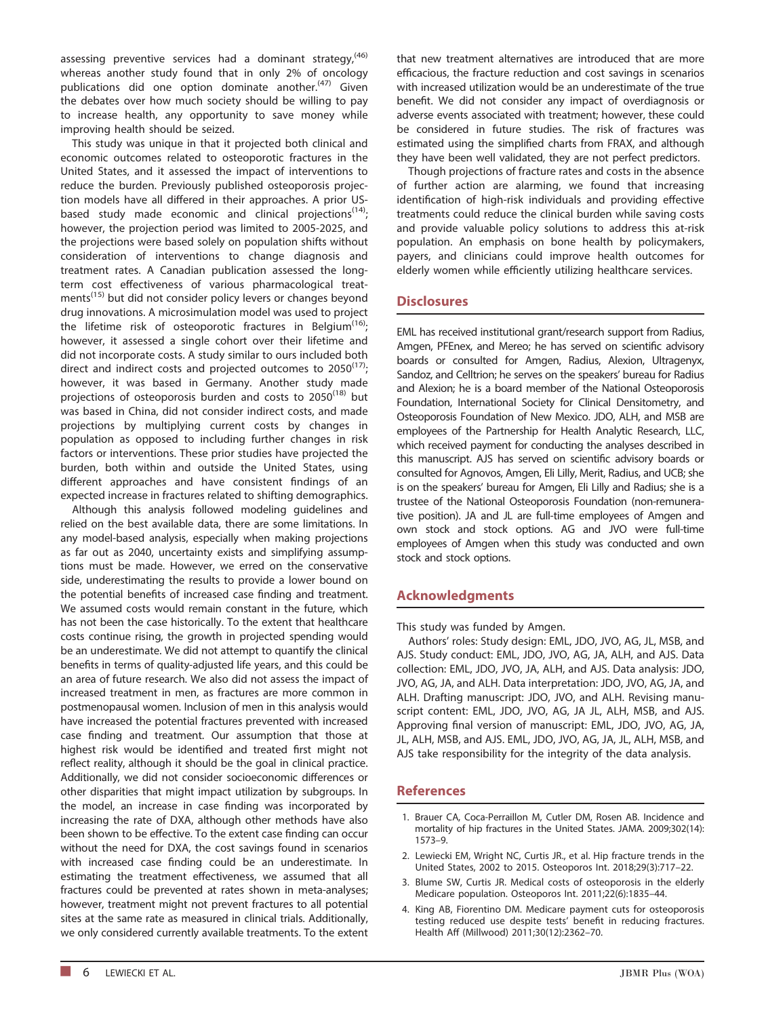assessing preventive services had a dominant strategy,<sup> $(46)$ </sup> whereas another study found that in only 2% of oncology publications did one option dominate another.<sup>(47)</sup> Given the debates over how much society should be willing to pay to increase health, any opportunity to save money while improving health should be seized.

This study was unique in that it projected both clinical and economic outcomes related to osteoporotic fractures in the United States, and it assessed the impact of interventions to reduce the burden. Previously published osteoporosis projection models have all differed in their approaches. A prior US‐ based study made economic and clinical projections<sup> $(14)$ </sup>; however, the projection period was limited to 2005‐2025, and the projections were based solely on population shifts without consideration of interventions to change diagnosis and treatment rates. A Canadian publication assessed the long‐ term cost effectiveness of various pharmacological treatments<sup>(15)</sup> but did not consider policy levers or changes beyond drug innovations. A microsimulation model was used to project the lifetime risk of osteoporotic fractures in Belgium<sup>(16)</sup>; however, it assessed a single cohort over their lifetime and did not incorporate costs. A study similar to ours included both direct and indirect costs and projected outcomes to  $2050^{(17)}$ ; however, it was based in Germany. Another study made projections of osteoporosis burden and costs to  $2050^{(18)}$  but was based in China, did not consider indirect costs, and made projections by multiplying current costs by changes in population as opposed to including further changes in risk factors or interventions. These prior studies have projected the burden, both within and outside the United States, using different approaches and have consistent findings of an expected increase in fractures related to shifting demographics.

Although this analysis followed modeling guidelines and relied on the best available data, there are some limitations. In any model-based analysis, especially when making projections as far out as 2040, uncertainty exists and simplifying assumptions must be made. However, we erred on the conservative side, underestimating the results to provide a lower bound on the potential benefits of increased case finding and treatment. We assumed costs would remain constant in the future, which has not been the case historically. To the extent that healthcare costs continue rising, the growth in projected spending would be an underestimate. We did not attempt to quantify the clinical benefits in terms of quality‐adjusted life years, and this could be an area of future research. We also did not assess the impact of increased treatment in men, as fractures are more common in postmenopausal women. Inclusion of men in this analysis would have increased the potential fractures prevented with increased case finding and treatment. Our assumption that those at highest risk would be identified and treated first might not reflect reality, although it should be the goal in clinical practice. Additionally, we did not consider socioeconomic differences or other disparities that might impact utilization by subgroups. In the model, an increase in case finding was incorporated by increasing the rate of DXA, although other methods have also been shown to be effective. To the extent case finding can occur without the need for DXA, the cost savings found in scenarios with increased case finding could be an underestimate. In estimating the treatment effectiveness, we assumed that all fractures could be prevented at rates shown in meta‐analyses; however, treatment might not prevent fractures to all potential sites at the same rate as measured in clinical trials. Additionally, we only considered currently available treatments. To the extent that new treatment alternatives are introduced that are more efficacious, the fracture reduction and cost savings in scenarios with increased utilization would be an underestimate of the true benefit. We did not consider any impact of overdiagnosis or adverse events associated with treatment; however, these could be considered in future studies. The risk of fractures was estimated using the simplified charts from FRAX, and although they have been well validated, they are not perfect predictors.

Though projections of fracture rates and costs in the absence of further action are alarming, we found that increasing identification of high-risk individuals and providing effective treatments could reduce the clinical burden while saving costs and provide valuable policy solutions to address this at-risk population. An emphasis on bone health by policymakers, payers, and clinicians could improve health outcomes for elderly women while efficiently utilizing healthcare services.

### **Disclosures**

EML has received institutional grant/research support from Radius, Amgen, PFEnex, and Mereo; he has served on scientific advisory boards or consulted for Amgen, Radius, Alexion, Ultragenyx, Sandoz, and Celltrion; he serves on the speakers' bureau for Radius and Alexion; he is a board member of the National Osteoporosis Foundation, International Society for Clinical Densitometry, and Osteoporosis Foundation of New Mexico. JDO, ALH, and MSB are employees of the Partnership for Health Analytic Research, LLC, which received payment for conducting the analyses described in this manuscript. AJS has served on scientific advisory boards or consulted for Agnovos, Amgen, Eli Lilly, Merit, Radius, and UCB; she is on the speakers' bureau for Amgen, Eli Lilly and Radius; she is a trustee of the National Osteoporosis Foundation (non‐remunerative position). JA and JL are full‐time employees of Amgen and own stock and stock options. AG and JVO were full‐time employees of Amgen when this study was conducted and own stock and stock options.

### Acknowledgments

This study was funded by Amgen.

Authors' roles: Study design: EML, JDO, JVO, AG, JL, MSB, and AJS. Study conduct: EML, JDO, JVO, AG, JA, ALH, and AJS. Data collection: EML, JDO, JVO, JA, ALH, and AJS. Data analysis: JDO, JVO, AG, JA, and ALH. Data interpretation: JDO, JVO, AG, JA, and ALH. Drafting manuscript: JDO, JVO, and ALH. Revising manuscript content: EML, JDO, JVO, AG, JA JL, ALH, MSB, and AJS. Approving final version of manuscript: EML, JDO, JVO, AG, JA, JL, ALH, MSB, and AJS. EML, JDO, JVO, AG, JA, JL, ALH, MSB, and AJS take responsibility for the integrity of the data analysis.

#### References

- 1. Brauer CA, Coca‐Perraillon M, Cutler DM, Rosen AB. Incidence and mortality of hip fractures in the United States. JAMA. 2009;302(14): 1573–9.
- 2. Lewiecki EM, Wright NC, Curtis JR., et al. Hip fracture trends in the United States, 2002 to 2015. Osteoporos Int. 2018;29(3):717–22.
- 3. Blume SW, Curtis JR. Medical costs of osteoporosis in the elderly Medicare population. Osteoporos Int. 2011;22(6):1835–44.
- 4. King AB, Fiorentino DM. Medicare payment cuts for osteoporosis testing reduced use despite tests' benefit in reducing fractures. Health Aff (Millwood) 2011;30(12):2362–70.